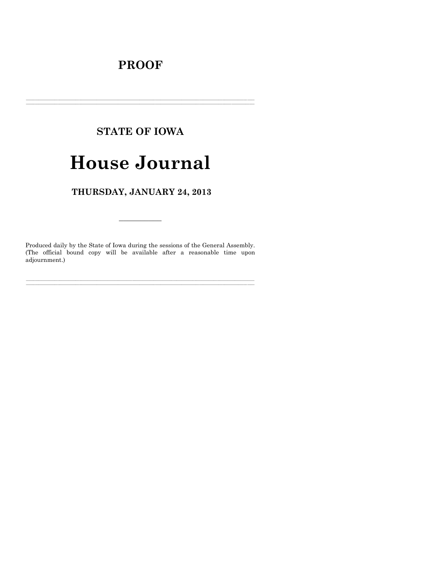# **PROOF**

# **STATE OF IOWA**

# **House Journal**

# THURSDAY, JANUARY 24, 2013

Produced daily by the State of Iowa during the sessions of the General Assembly. (The official bound copy will be available after a reasonable time upon adjournment.)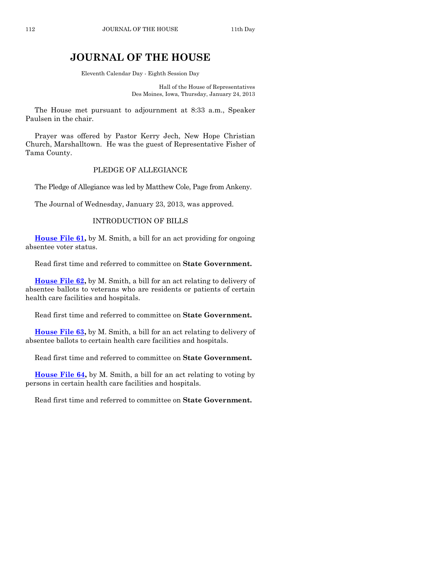# **JOURNAL OF THE HOUSE**

Eleventh Calendar Day - Eighth Session Day

Hall of the House of Representatives Des Moines, Iowa, Thursday, January 24, 2013

The House met pursuant to adjournment at 8:33 a.m., Speaker Paulsen in the chair.

Prayer was offered by Pastor Kerry Jech, New Hope Christian Church, Marshalltown. He was the guest of Representative Fisher of Tama County.

#### PLEDGE OF ALLEGIANCE

The Pledge of Allegiance was led by Matthew Cole, Page from Ankeny.

The Journal of Wednesday, January 23, 2013, was approved.

#### INTRODUCTION OF BILLS

**[House File 61,](http://coolice.legis.state.ia.us/Cool-ICE/default.asp?Category=billinfo&Service=Billbook&frame=1&GA=85&hbill=HF61)** by M. Smith, a bill for an act providing for ongoing absentee voter status.

Read first time and referred to committee on **State Government.**

**[House File 62,](http://coolice.legis.state.ia.us/Cool-ICE/default.asp?Category=billinfo&Service=Billbook&frame=1&GA=85&hbill=HF62)** by M. Smith, a bill for an act relating to delivery of absentee ballots to veterans who are residents or patients of certain health care facilities and hospitals.

Read first time and referred to committee on **State Government.**

**[House File 63,](http://coolice.legis.state.ia.us/Cool-ICE/default.asp?Category=billinfo&Service=Billbook&frame=1&GA=85&hbill=HF63)** by M. Smith, a bill for an act relating to delivery of absentee ballots to certain health care facilities and hospitals.

Read first time and referred to committee on **State Government.**

**[House File 64,](http://coolice.legis.state.ia.us/Cool-ICE/default.asp?Category=billinfo&Service=Billbook&frame=1&GA=85&hbill=HF64)** by M. Smith, a bill for an act relating to voting by persons in certain health care facilities and hospitals.

Read first time and referred to committee on **State Government.**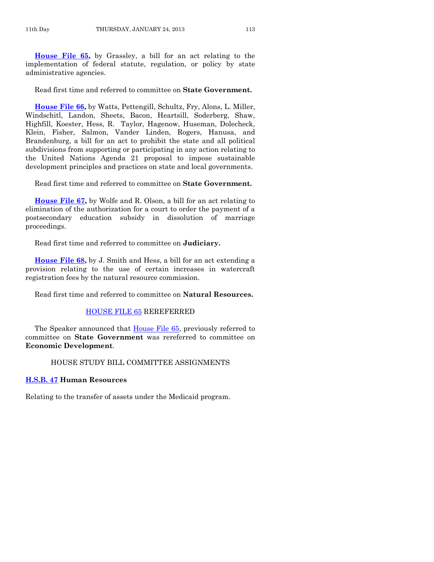**[House File 65,](http://coolice.legis.state.ia.us/Cool-ICE/default.asp?Category=billinfo&Service=Billbook&frame=1&GA=85&hbill=HF65)** by Grassley, a bill for an act relating to the implementation of federal statute, regulation, or policy by state administrative agencies.

Read first time and referred to committee on **State Government.**

**[House File 66,](http://coolice.legis.state.ia.us/Cool-ICE/default.asp?Category=billinfo&Service=Billbook&frame=1&GA=85&hbill=HF66)** by Watts, Pettengill, Schultz, Fry, Alons, L. Miller, Windschitl, Landon, Sheets, Bacon, Heartsill, Soderberg, Shaw, Highfill, Koester, Hess, R. Taylor, Hagenow, Huseman, Dolecheck, Klein, Fisher, Salmon, Vander Linden, Rogers, Hanusa, and Brandenburg, a bill for an act to prohibit the state and all political subdivisions from supporting or participating in any action relating to the United Nations Agenda 21 proposal to impose sustainable development principles and practices on state and local governments.

Read first time and referred to committee on **State Government.**

**[House File 67,](http://coolice.legis.state.ia.us/Cool-ICE/default.asp?Category=billinfo&Service=Billbook&frame=1&GA=85&hbill=HF67)** by Wolfe and R. Olson, a bill for an act relating to elimination of the authorization for a court to order the payment of a postsecondary education subsidy in dissolution of marriage proceedings.

Read first time and referred to committee on **Judiciary.**

**[House File 68,](http://coolice.legis.state.ia.us/Cool-ICE/default.asp?Category=billinfo&Service=Billbook&frame=1&GA=85&hbill=HF68)** by J. Smith and Hess, a bill for an act extending a provision relating to the use of certain increases in watercraft registration fees by the natural resource commission.

Read first time and referred to committee on **Natural Resources.**

#### [HOUSE FILE 65](http://coolice.legis.state.ia.us/Cool-ICE/default.asp?Category=billinfo&Service=Billbook&frame=1&GA=85&hbill=HF65) REREFERRED

The Speaker announced that [House File 65,](http://coolice.legis.state.ia.us/Cool-ICE/default.asp?Category=billinfo&Service=Billbook&frame=1&GA=85&hbill=HF65) previously referred to committee on **State Government** was rereferred to committee on **Economic Development**.

#### HOUSE STUDY BILL COMMITTEE ASSIGNMENTS

#### **[H.S.B. 47](http://coolice.legis.state.ia.us/Cool-ICE/default.asp?Category=billinfo&Service=Billbook&frame=1&GA=85&hbill=HSB47) Human Resources**

Relating to the transfer of assets under the Medicaid program.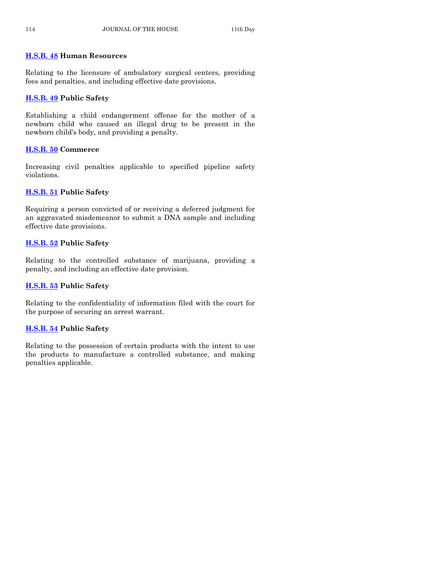#### **[H.S.B. 48](http://coolice.legis.state.ia.us/Cool-ICE/default.asp?Category=billinfo&Service=Billbook&frame=1&GA=85&hbill=HSB48) Human Resources**

Relating to the licensure of ambulatory surgical centers, providing fees and penalties, and including effective date provisions.

#### **[H.S.B. 49](http://coolice.legis.state.ia.us/Cool-ICE/default.asp?Category=billinfo&Service=Billbook&frame=1&GA=85&hbill=HSB49) Public Safety**

Establishing a child endangerment offense for the mother of a newborn child who caused an illegal drug to be present in the newborn child's body, and providing a penalty.

#### **[H.S.B. 50](http://coolice.legis.state.ia.us/Cool-ICE/default.asp?Category=billinfo&Service=Billbook&frame=1&GA=85&hbill=HSB50) Commerce**

Increasing civil penalties applicable to specified pipeline safety violations.

# **[H.S.B.](http://coolice.legis.state.ia.us/Cool-ICE/default.asp?Category=billinfo&Service=Billbook&frame=1&GA=85&hbill=HSB51) 51 Public Safety**

Requiring a person convicted of or receiving a deferred judgment for an aggravated misdemeanor to submit a DNA sample and including effective date provisions.

# **[H.S.B. 52](http://coolice.legis.state.ia.us/Cool-ICE/default.asp?Category=billinfo&Service=Billbook&frame=1&GA=85&hbill=HSB52) Public Safety**

Relating to the controlled substance of marijuana, providing a penalty, and including an effective date provision.

# **[H.S.B. 53](http://coolice.legis.state.ia.us/Cool-ICE/default.asp?Category=billinfo&Service=Billbook&frame=1&GA=85&hbill=HSB53) Public Safety**

Relating to the confidentiality of information filed with the court for the purpose of securing an arrest warrant.

# **[H.S.B. 54](http://coolice.legis.state.ia.us/Cool-ICE/default.asp?Category=billinfo&Service=Billbook&frame=1&GA=85&hbill=HSB54) Public Safety**

Relating to the possession of certain products with the intent to use the products to manufacture a controlled substance, and making penalties applicable.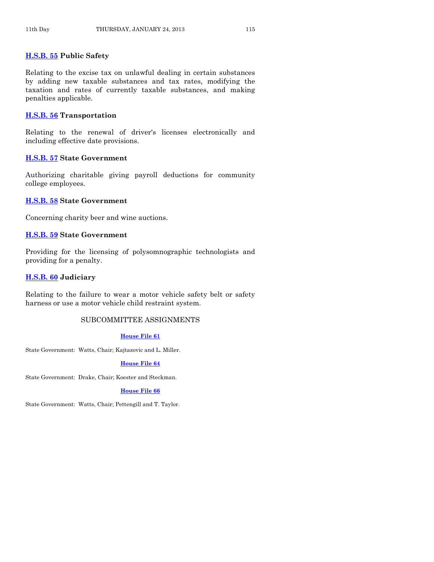#### **[H.S.B. 55](http://coolice.legis.state.ia.us/Cool-ICE/default.asp?Category=billinfo&Service=Billbook&frame=1&GA=85&hbill=HSB55) Public Safety**

Relating to the excise tax on unlawful dealing in certain substances by adding new taxable substances and tax rates, modifying the taxation and rates of currently taxable substances, and making penalties applicable.

#### **[H.S.B. 56](http://coolice.legis.state.ia.us/Cool-ICE/default.asp?Category=billinfo&Service=Billbook&frame=1&GA=85&hbill=HSB56) Transportation**

Relating to the renewal of driver's licenses electronically and including effective date provisions.

#### **[H.S.B. 57](http://coolice.legis.state.ia.us/Cool-ICE/default.asp?Category=billinfo&Service=Billbook&frame=1&GA=85&hbill=HSB57) State Government**

Authorizing charitable giving payroll deductions for community college employees.

#### **[H.S.B. 58](http://coolice.legis.state.ia.us/Cool-ICE/default.asp?Category=billinfo&Service=Billbook&frame=1&GA=85&hbill=HSB58) State Government**

Concerning charity beer and wine auctions.

#### **[H.S.B. 59](http://coolice.legis.state.ia.us/Cool-ICE/default.asp?Category=billinfo&Service=Billbook&frame=1&GA=85&hbill=HSB59) State Government**

Providing for the licensing of polysomnographic technologists and providing for a penalty.

#### **[H.S.B. 60](http://coolice.legis.state.ia.us/Cool-ICE/default.asp?Category=billinfo&Service=Billbook&frame=1&GA=85&hbill=HSB60) Judiciary**

Relating to the failure to wear a motor vehicle safety belt or safety harness or use a motor vehicle child restraint system.

#### SUBCOMMITTEE ASSIGNMENTS

#### **[House File 61](http://coolice.legis.state.ia.us/Cool-ICE/default.asp?Category=billinfo&Service=Billbook&frame=1&GA=85&hbill=HF61)**

State Government: Watts, Chair; Kajtazovic and L. Miller.

#### **[House File 64](http://coolice.legis.state.ia.us/Cool-ICE/default.asp?Category=billinfo&Service=Billbook&frame=1&GA=85&hbill=HF64)**

State Government: Drake, Chair; Koester and Steckman.

#### **[House File 66](http://coolice.legis.state.ia.us/Cool-ICE/default.asp?Category=billinfo&Service=Billbook&frame=1&GA=85&hbill=HF66)**

State Government: Watts, Chair; Pettengill and T. Taylor.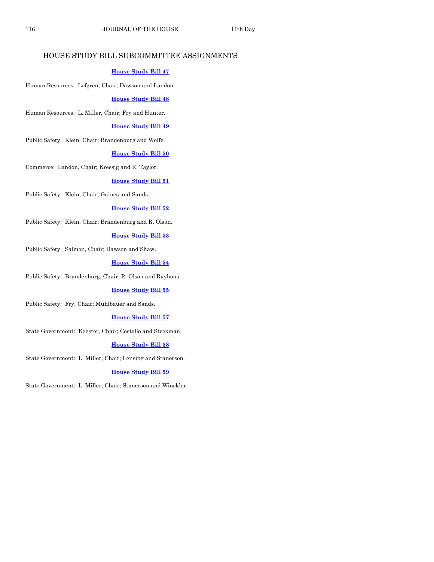# HOUSE STUDY BILL SUBCOMMITTEE ASSIGNMENTS

#### **[House Study Bill 47](http://coolice.legis.state.ia.us/Cool-ICE/default.asp?Category=billinfo&Service=Billbook&frame=1&GA=85&hbill=HSB47)**

Human Resources: Lofgren, Chair; Dawson and Landon.

#### **[House Study Bill 48](http://coolice.legis.state.ia.us/Cool-ICE/default.asp?Category=billinfo&Service=Billbook&frame=1&GA=85&hbill=HSB48)**

Human Resources: L. Miller, Chair; Fry and Hunter.

#### **[House Study Bill 49](http://coolice.legis.state.ia.us/Cool-ICE/default.asp?Category=billinfo&Service=Billbook&frame=1&GA=85&hbill=HSB49)**

Public Safety: Klein, Chair; Brandenburg and Wolfe.

#### **[House Study Bill 50](http://coolice.legis.state.ia.us/Cool-ICE/default.asp?Category=billinfo&Service=Billbook&frame=1&GA=85&hbill=HSB50)**

Commerce: Landon, Chair; Kressig and R. Taylor.

#### **[House Study Bill 51](http://coolice.legis.state.ia.us/Cool-ICE/default.asp?Category=billinfo&Service=Billbook&frame=1&GA=85&hbill=HSB51)**

Public Safety: Klein, Chair; Gaines and Sands.

#### **[House Study Bill 52](http://coolice.legis.state.ia.us/Cool-ICE/default.asp?Category=billinfo&Service=Billbook&frame=1&GA=85&hbill=HSB52)**

Public Safety: Klein, Chair; Brandenburg and R. Olson.

#### **[House Study Bill 53](http://coolice.legis.state.ia.us/Cool-ICE/default.asp?Category=billinfo&Service=Billbook&frame=1&GA=85&hbill=HSB53)**

Public Safety: Salmon, Chair; Dawson and Shaw.

#### **[House Study Bill 54](http://coolice.legis.state.ia.us/Cool-ICE/default.asp?Category=billinfo&Service=Billbook&frame=1&GA=85&hbill=HSB54)**

Public Safety: Brandenburg, Chair; R. Olson and Rayhons.

#### **[House Study Bill 55](http://coolice.legis.state.ia.us/Cool-ICE/default.asp?Category=billinfo&Service=Billbook&frame=1&GA=85&hbill=HSB55)**

Public Safety: Fry, Chair; Muhlbauer and Sands.

#### **[House Study Bill 57](http://coolice.legis.state.ia.us/Cool-ICE/default.asp?Category=billinfo&Service=Billbook&frame=1&GA=85&hbill=HSB57)**

State Government: Koester, Chair; Costello and Steckman.

#### **[House Study Bill 58](http://coolice.legis.state.ia.us/Cool-ICE/default.asp?Category=billinfo&Service=Billbook&frame=1&GA=85&hbill=HSB58)**

State Government: L. Miller, Chair; Lensing and Stanerson.

#### **[House Study Bill 59](http://coolice.legis.state.ia.us/Cool-ICE/default.asp?Category=billinfo&Service=Billbook&frame=1&GA=85&hbill=HSB59)**

State Government: L. Miller, Chair; Stanerson and Winckler.